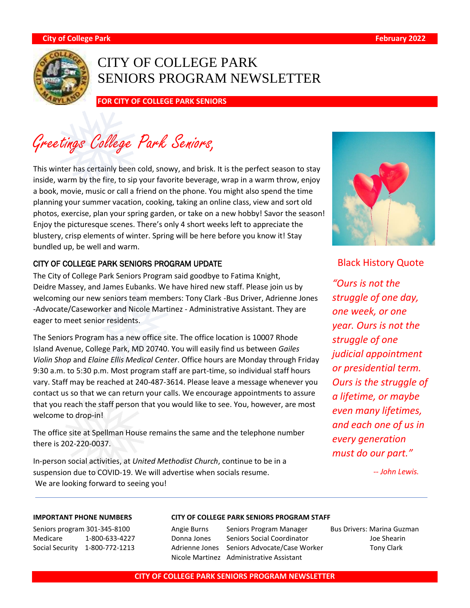

# CITY OF COLLEGE PARK SENIORS PROGRAM NEWSLETTER

**FOR CITY OF COLLEGE PARK SENIORS** 

Greetings College Park Seniors,

This winter has certainly been cold, snowy, and brisk. It is the perfect season to stay inside, warm by the fire, to sip your favorite beverage, wrap in a warm throw, enjoy a book, movie, music or call a friend on the phone. You might also spend the time planning your summer vacation, cooking, taking an online class, view and sort old photos, exercise, plan your spring garden, or take on a new hobby! Savor the season! Enjoy the picturesque scenes. There's only 4 short weeks left to appreciate the blustery, crisp elements of winter. Spring will be here before you know it! Stay bundled up, be well and warm.

#### CITY OF COLLEGE PARK SENIORS PROGRAM UPDATE

The City of College Park Seniors Program said goodbye to Fatima Knight, Deidre Massey, and James Eubanks. We have hired new staff. Please join us by welcoming our new seniors team members: Tony Clark -Bus Driver, Adrienne Jones -Advocate/Caseworker and Nicole Martinez - Administrative Assistant. They are eager to meet senior residents.

The Seniors Program has a new office site. The office location is 10007 Rhode Island Avenue, College Park, MD 20740. You will easily find us between *Gailes Violin Shop* and *Elaine Ellis Medical Center*. Office hours are Monday through Friday 9:30 a.m. to 5:30 p.m. Most program staff are part-time, so individual staff hours vary. Staff may be reached at 240-487-3614. Please leave a message whenever you contact us so that we can return your calls. We encourage appointments to assure that you reach the staff person that you would like to see. You, however, are most welcome to drop-in!

The office site at Spellman House remains the same and the telephone number there is 202-220-0037.

In-person social activities, at *United Methodist Church*, continue to be in a suspension due to COVID-19. We will advertise when socials resume. We are looking forward to seeing you!



#### Black History Quote

*"Ours is not the struggle of one day, one week, or one year. Ours is not the struggle of one judicial appointment or presidential term. Ours is the struggle of a lifetime, or maybe even many lifetimes, and each one of us in every generation must do our part."* 

 *-- John Lewis.*

Seniors program 301-345-8100 Angie Burns Seniors Program Manager Bus Drivers: Marina Guzman Medicare 1-800-633-4227 Donna Jones Seniors Social Coordinator Joe Shearin Social Security 1-800-772-1213 Adrienne Jones Seniors Advocate/Case Worker Tony Clark

#### **IMPORTANT PHONE NUMBERS CITY OF COLLEGE PARK SENIORS PROGRAM STAFF**

Nicole Martinez Administrative Assistant

#### **CITY OF COLLEGE PARK SENIORS PROGRAM NEWSLETTER**